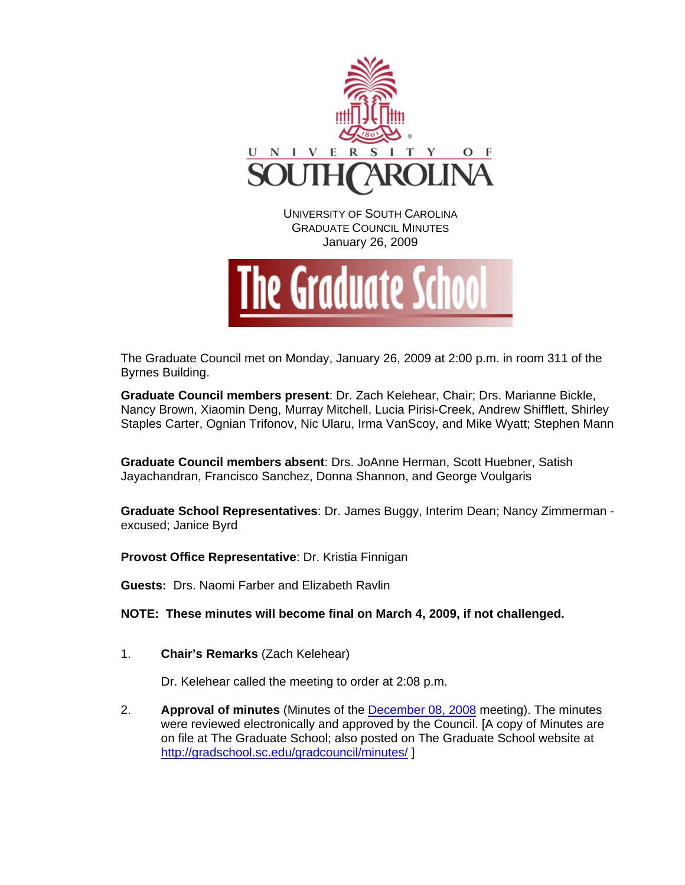



The Graduate Council met on Monday, January 26, 2009 at 2:00 p.m. in room 311 of the Byrnes Building.

**Graduate Council members present**: Dr. Zach Kelehear, Chair; Drs. Marianne Bickle, Nancy Brown, Xiaomin Deng, Murray Mitchell, Lucia Pirisi-Creek, Andrew Shifflett, Shirley Staples Carter, Ognian Trifonov, Nic Ularu, Irma VanScoy, and Mike Wyatt; Stephen Mann

**Graduate Council members absent**: Drs. JoAnne Herman, Scott Huebner, Satish Jayachandran, Francisco Sanchez, Donna Shannon, and George Voulgaris

**Graduate School Representatives**: Dr. James Buggy, Interim Dean; Nancy Zimmerman excused; Janice Byrd

**Provost Office Representative**: Dr. Kristia Finnigan

**Guests:** Drs. Naomi Farber and Elizabeth Ravlin

**NOTE: These minutes will become final on March 4, 2009, if not challenged.**

1. **Chair's Remarks** (Zach Kelehear)

Dr. Kelehear called the meeting to order at 2:08 p.m.

2. **Approval of minutes** (Minutes of the [December 08, 2008](http://gradschool.sc.edu/gradcouncil/minutes/GCMINUTES120808.pdf) meeting). The minutes were reviewed electronically and approved by the Council. [A copy of Minutes are on file at The Graduate School; also posted on The Graduate School website at <http://gradschool.sc.edu/gradcouncil/minutes/>]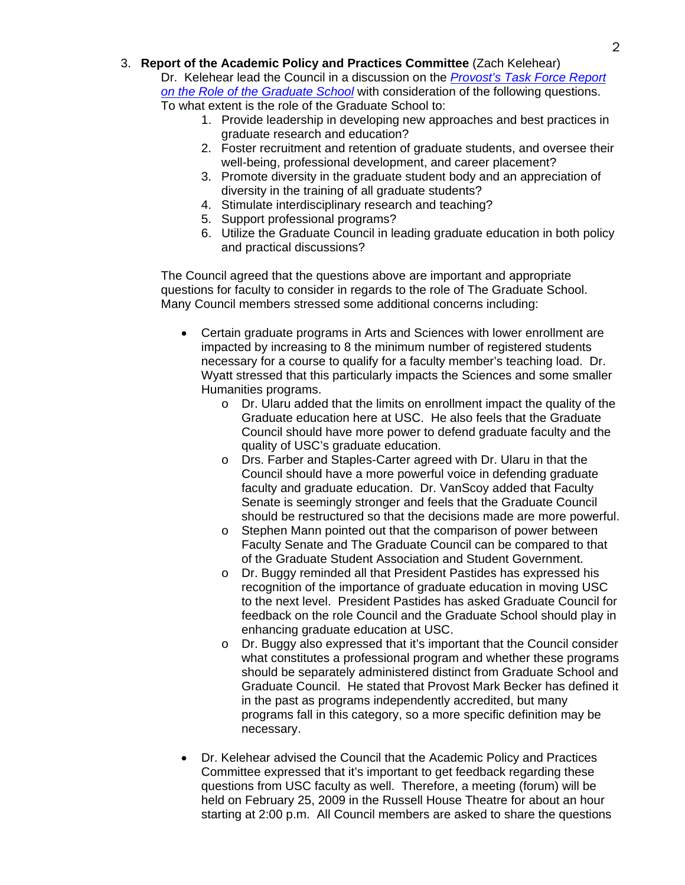3. **Report of the Academic Policy and Practices Committee** (Zach Kelehear)

Dr. Kelehear lead the Council in a discussion on the *[Provost's Task Force Report](http://www.gradschool.sc.edu/facstaff/RoleofUSCGraduateSchool.pdf)  [on the Role of the Graduate School](http://www.gradschool.sc.edu/facstaff/RoleofUSCGraduateSchool.pdf)* with consideration of the following questions. To what extent is the role of the Graduate School to:

- 1. Provide leadership in developing new approaches and best practices in graduate research and education?
- 2. Foster recruitment and retention of graduate students, and oversee their well-being, professional development, and career placement?
- 3. Promote diversity in the graduate student body and an appreciation of diversity in the training of all graduate students?
- 4. Stimulate interdisciplinary research and teaching?
- 5. Support professional programs?
- 6. Utilize the Graduate Council in leading graduate education in both policy and practical discussions?

The Council agreed that the questions above are important and appropriate questions for faculty to consider in regards to the role of The Graduate School. Many Council members stressed some additional concerns including:

- Certain graduate programs in Arts and Sciences with lower enrollment are impacted by increasing to 8 the minimum number of registered students necessary for a course to qualify for a faculty member's teaching load. Dr. Wyatt stressed that this particularly impacts the Sciences and some smaller Humanities programs.
	- $\circ$  Dr. Ularu added that the limits on enrollment impact the quality of the Graduate education here at USC. He also feels that the Graduate Council should have more power to defend graduate faculty and the quality of USC's graduate education.
	- o Drs. Farber and Staples-Carter agreed with Dr. Ularu in that the Council should have a more powerful voice in defending graduate faculty and graduate education. Dr. VanScoy added that Faculty Senate is seemingly stronger and feels that the Graduate Council should be restructured so that the decisions made are more powerful.
	- o Stephen Mann pointed out that the comparison of power between Faculty Senate and The Graduate Council can be compared to that of the Graduate Student Association and Student Government.
	- o Dr. Buggy reminded all that President Pastides has expressed his recognition of the importance of graduate education in moving USC to the next level. President Pastides has asked Graduate Council for feedback on the role Council and the Graduate School should play in enhancing graduate education at USC.
	- o Dr. Buggy also expressed that it's important that the Council consider what constitutes a professional program and whether these programs should be separately administered distinct from Graduate School and Graduate Council. He stated that Provost Mark Becker has defined it in the past as programs independently accredited, but many programs fall in this category, so a more specific definition may be necessary.
- Dr. Kelehear advised the Council that the Academic Policy and Practices Committee expressed that it's important to get feedback regarding these questions from USC faculty as well. Therefore, a meeting (forum) will be held on February 25, 2009 in the Russell House Theatre for about an hour starting at 2:00 p.m. All Council members are asked to share the questions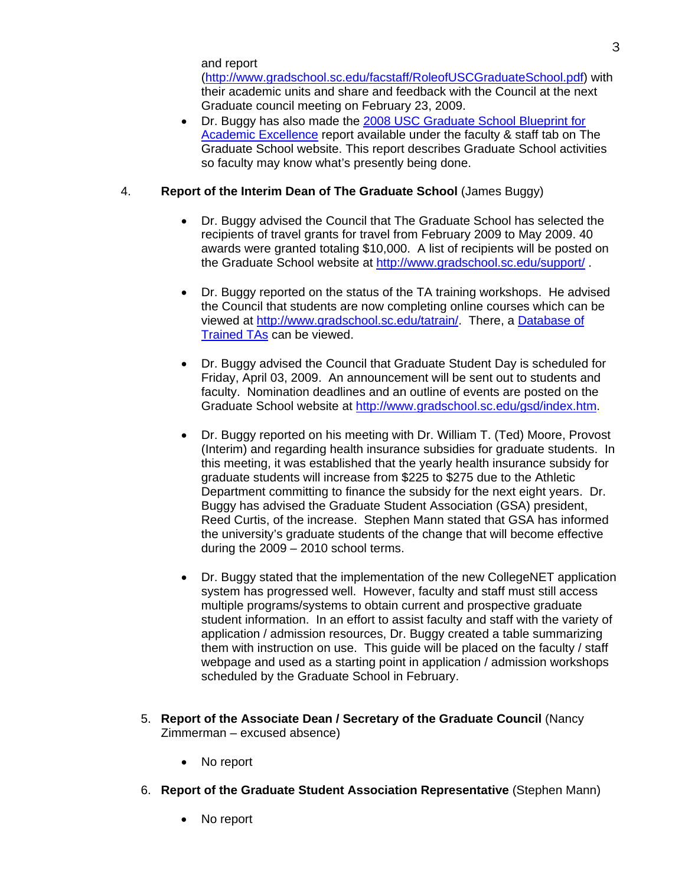and report

(http://www.gradschool.sc.edu/facstaff/RoleofUSCGraduateSchool.pdf) with their academic units and share and feedback with the Council at the next Graduate council meeting on February 23, 2009.

3

• Dr. Buggy has also made the [2008 USC Graduate School Blueprint for](http://www.gradschool.sc.edu/pubs/GSBlueprintforExcellence2008.pdf)  [Academic Excellence](http://www.gradschool.sc.edu/pubs/GSBlueprintforExcellence2008.pdf) report available under the faculty & staff tab on The Graduate School website. This report describes Graduate School activities so faculty may know what's presently being done.

# 4. **Report of the Interim Dean of The Graduate School** (James Buggy)

- Dr. Buggy advised the Council that The Graduate School has selected the recipients of travel grants for travel from February 2009 to May 2009. 40 awards were granted totaling \$10,000. A list of recipients will be posted on the Graduate School website at <http://www.gradschool.sc.edu/support/> .
- Dr. Buggy reported on the status of the TA training workshops. He advised the Council that students are now completing online courses which can be viewed at [http://www.gradschool.sc.edu/tatrain/.](http://www.gradschool.sc.edu/tatrain/) There, a [Database of](http://www.gradschool.sc.edu/tatrain/tatrained.asp)  [Trained TAs](http://www.gradschool.sc.edu/tatrain/tatrained.asp) can be viewed.
- Dr. Buggy advised the Council that Graduate Student Day is scheduled for Friday, April 03, 2009. An announcement will be sent out to students and faculty. Nomination deadlines and an outline of events are posted on the Graduate School website at<http://www.gradschool.sc.edu/gsd/index.htm>.
- Dr. Buggy reported on his meeting with Dr. William T. (Ted) Moore, Provost (Interim) and regarding health insurance subsidies for graduate students. In this meeting, it was established that the yearly health insurance subsidy for graduate students will increase from \$225 to \$275 due to the Athletic Department committing to finance the subsidy for the next eight years. Dr. Buggy has advised the Graduate Student Association (GSA) president, Reed Curtis, of the increase. Stephen Mann stated that GSA has informed the university's graduate students of the change that will become effective during the 2009 – 2010 school terms.
- Dr. Buggy stated that the implementation of the new CollegeNET application system has progressed well. However, faculty and staff must still access multiple programs/systems to obtain current and prospective graduate student information. In an effort to assist faculty and staff with the variety of application / admission resources, Dr. Buggy created a table summarizing them with instruction on use. This guide will be placed on the faculty / staff webpage and used as a starting point in application / admission workshops scheduled by the Graduate School in February.
- 5. **Report of the Associate Dean / Secretary of the Graduate Council** (Nancy Zimmerman – excused absence)
	- No report
- 6. **Report of the Graduate Student Association Representative** (Stephen Mann)
	- No report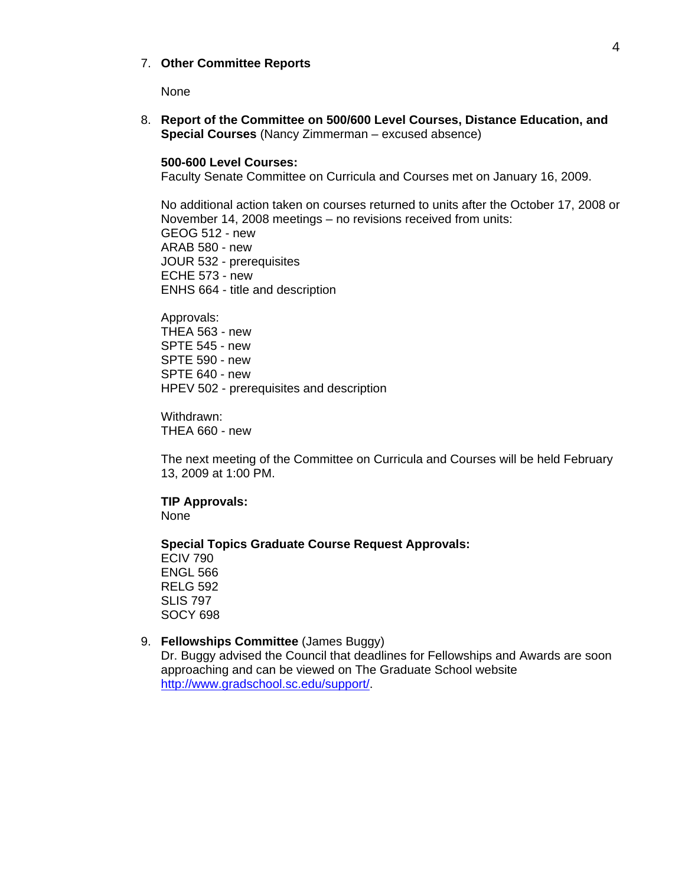### 7. **Other Committee Reports**

None

8. **Report of the Committee on 500/600 Level Courses, Distance Education, and Special Courses** (Nancy Zimmerman – excused absence)

### **500-600 Level Courses:**

Faculty Senate Committee on Curricula and Courses met on January 16, 2009.

No additional action taken on courses returned to units after the October 17, 2008 or November 14, 2008 meetings – no revisions received from units: GEOG 512 - new ARAB 580 - new JOUR 532 - prerequisites ECHE 573 - new ENHS 664 - title and description

Approvals: THEA 563 - new SPTE 545 - new SPTE 590 - new SPTE 640 - new HPEV 502 - prerequisites and description

Withdrawn: THEA 660 - new

The next meeting of the Committee on Curricula and Courses will be held February 13, 2009 at 1:00 PM.

**TIP Approvals:**  None

### **Special Topics Graduate Course Request Approvals:**

ECIV 790 ENGL 566 RELG 592 SLIS 797 SOCY 698

### 9. **Fellowships Committee** (James Buggy)

Dr. Buggy advised the Council that deadlines for Fellowships and Awards are soon approaching and can be viewed on The Graduate School website <http://www.gradschool.sc.edu/support/>.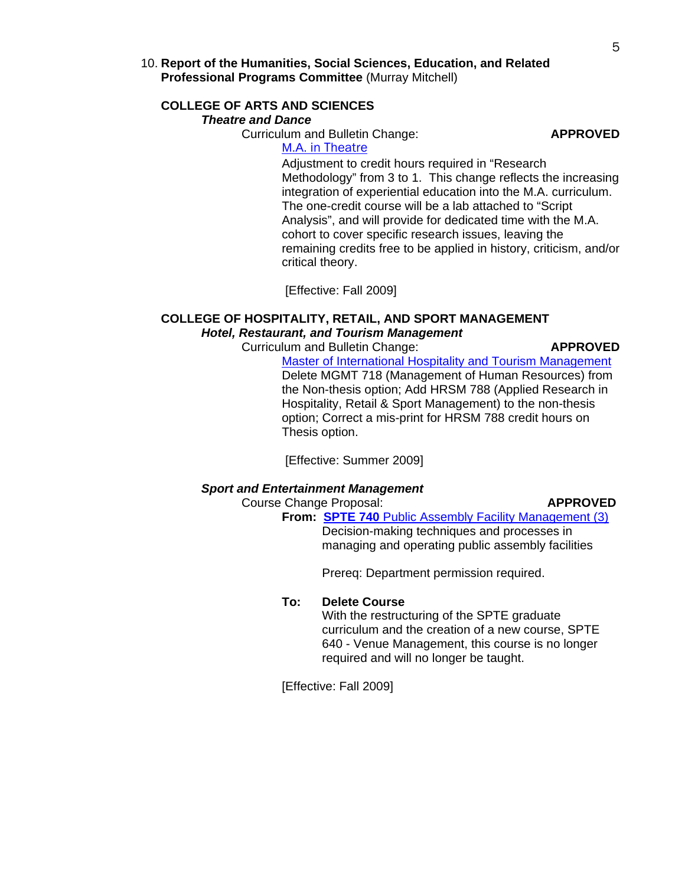### 10. **Report of the Humanities, Social Sciences, Education, and Related Professional Programs Committee** (Murray Mitchell)

### **COLLEGE OF ARTS AND SCIENCES**  *Theatre and Dance*

Curriculum and Bulletin Change: **APPROVED**

# M.A. [in Theatre](http://gradschool.sc.edu/gradcouncil/curricula/CBC%20Theatre%20and%20Dance-AS.pdf)

Adjustment to credit hours required in "Research Methodology" from 3 to 1. This change reflects the increasing integration of experiential education into the M.A. curriculum. The one-credit course will be a lab attached to "Script Analysis", and will provide for dedicated time with the M.A. cohort to cover specific research issues, leaving the remaining credits free to be applied in history, criticism, and/or critical theory.

[Effective: Fall 2009]

## **COLLEGE OF HOSPITALITY, RETAIL, AND SPORT MANAGEMENT**  *Hotel, Restaurant, and Tourism Management*

Curriculum and Bulletin Change: **APPROVED**

[Master of International Hospitality and Tourism Management](http://gradschool.sc.edu/gradcouncil/curricula/CBC%20HRSM.pdf) Delete MGMT 718 (Management of Human Resources) from the Non-thesis option; Add HRSM 788 (Applied Research in Hospitality, Retail & Sport Management) to the non-thesis option; Correct a mis-print for HRSM 788 credit hours on Thesis option.

[Effective: Summer 2009]

### *Sport and Entertainment Management*

Course Change Proposal: **APPROVED**

 **From: SPTE 740** [Public Assembly Facility Management \(3\)](http://gradschool.sc.edu/gradcouncil/curricula/CCP%20SPTE%20740.pdf) Decision-making techniques and processes in managing and operating public assembly facilities

Prereq: Department permission required.

### **To: Delete Course**

With the restructuring of the SPTE graduate curriculum and the creation of a new course, SPTE 640 - Venue Management, this course is no longer required and will no longer be taught.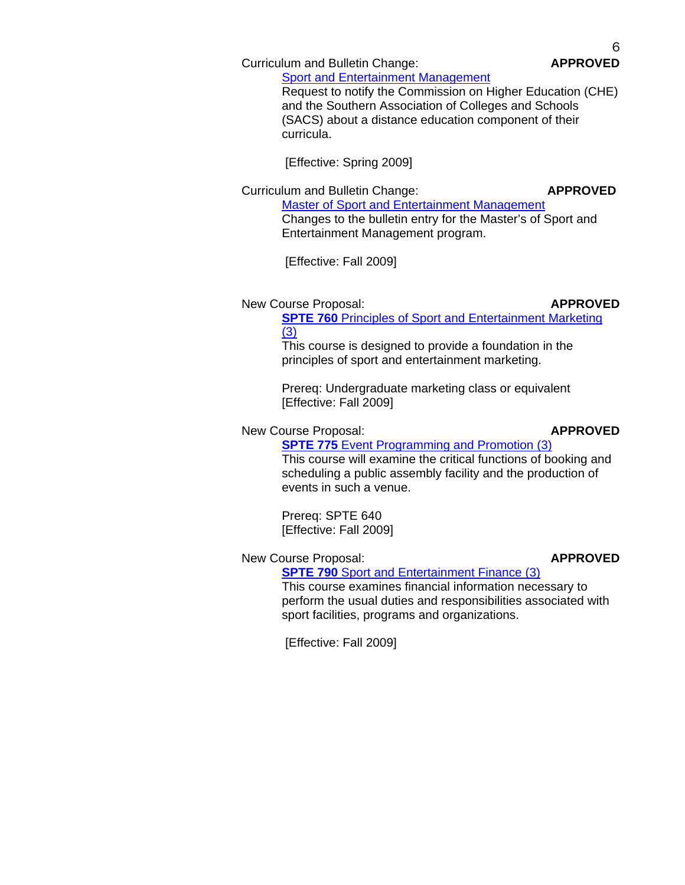Curriculum and Bulletin Change: **APPROVED**

[Sport and Entertainment Management](http://gradschool.sc.edu/gradcouncil/curricula/CBC%20Sport%20and%20Entertainment%20Management%202.pdf) Request to notify the Commission on Higher Education (CHE) and the Southern Association of Colleges and Schools (SACS) about a distance education component of their curricula.

[Effective: Spring 2009]

Curriculum and Bulletin Change: **APPROVED** [Master of Sport and Entertainment Management](http://gradschool.sc.edu/gradcouncil/curricula/CBC%20Sport%20and%20Entertainment%20Management.pdf) Changes to the bulletin entry for the Master's of Sport and Entertainment Management program.

[Effective: Fall 2009]

New Course Proposal: **APPROVED**

**SPTE 760 Principles of Sport and Entertainment Marketing** [\(3\)](http://gradschool.sc.edu/gradcouncil/curricula/NCP%20SPTE%20760.pdf)

This course is designed to provide a foundation in the principles of sport and entertainment marketing.

Prereq: Undergraduate marketing class or equivalent [Effective: Fall 2009]

### New Course Proposal: **APPROVED**

**SPTE 775** Event Programming and Promotion (3) This course will examine the critical functions of booking and scheduling a public assembly facility and the production of events in such a venue.

Prereq: SPTE 640 [Effective: Fall 2009]

# New Course Proposal: **APPROVED**

### **SPTE 790** [Sport and Entertainment Finance \(3\)](http://gradschool.sc.edu/gradcouncil/curricula/NCP%20SPTE%20790.pdf) This course examines financial information necessary to perform the usual duties and responsibilities associated with sport facilities, programs and organizations.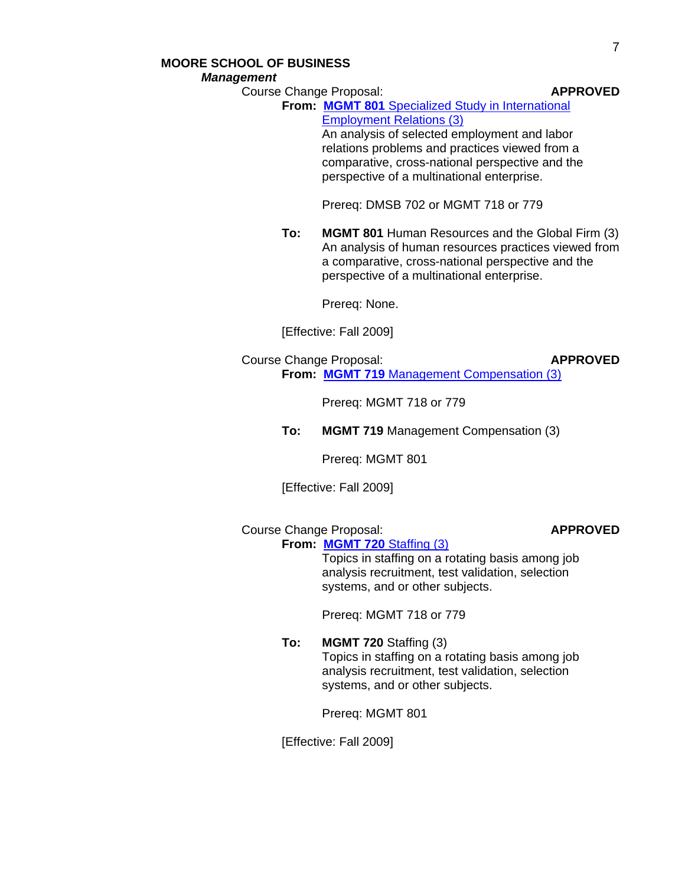### **MOORE SCHOOL OF BUSINESS**  *Management*

**Course Change Proposal: APPROVED** 

**From: MGMT 801** [Specialized Study in International](http://gradschool.sc.edu/gradcouncil/curricula/CCP%20MGMT%20801.pdf) [Employment Relations \(3\)](http://gradschool.sc.edu/gradcouncil/curricula/CCP%20MGMT%20801.pdf)

> An analysis of selected employment and labor relations problems and practices viewed from a comparative, cross-national perspective and the perspective of a multinational enterprise.

Prereq: DMSB 702 or MGMT 718 or 779

**To: MGMT 801** Human Resources and the Global Firm (3) An analysis of human resources practices viewed from a comparative, cross-national perspective and the perspective of a multinational enterprise.

Prereq: None.

[Effective: Fall 2009]

Course Change Proposal: **APPROVED From: MGMT 719** [Management Compensation \(3\)](http://gradschool.sc.edu/gradcouncil/curricula/CCP%20MGMT%20719.pdf)

Prereq: MGMT 718 or 779

**To: MGMT 719** Management Compensation (3)

Prereq: MGMT 801

[Effective: Fall 2009]

Course Change Proposal: **APPROVED**

**From: MGMT 720** [Staffing \(3\)](http://gradschool.sc.edu/gradcouncil/curricula/CCP%20MGMT%20720.pdf) Topics in staffing on a rotating basis among job analysis recruitment, test validation, selection systems, and or other subjects.

Prereq: MGMT 718 or 779

**To: MGMT 720** Staffing (3) Topics in staffing on a rotating basis among job analysis recruitment, test validation, selection systems, and or other subjects.

Prereq: MGMT 801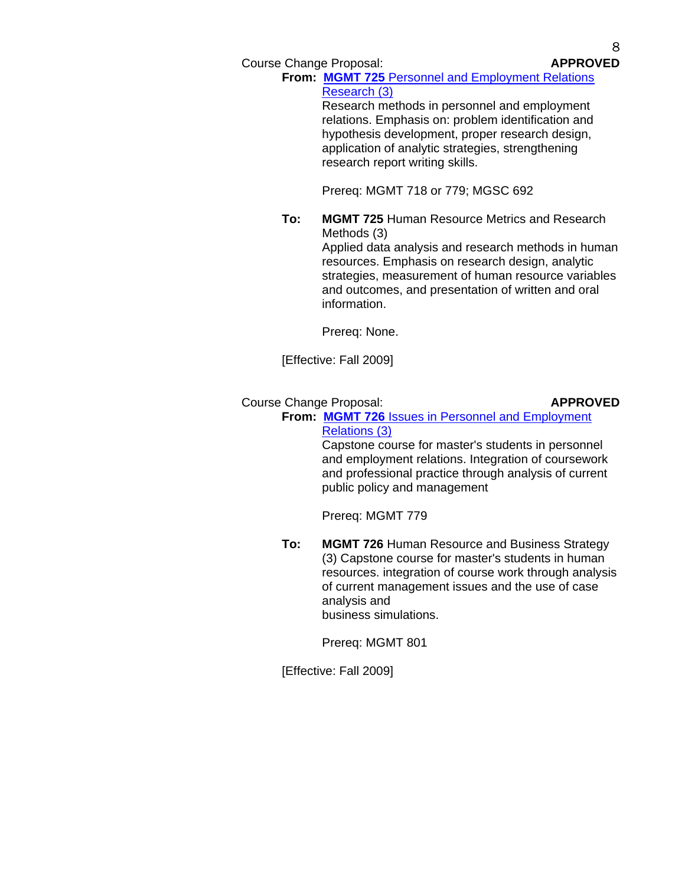Course Change Proposal: **APPROVED**

**From: MGMT 725** [Personnel and Employment Relations](http://gradschool.sc.edu/gradcouncil/curricula/CCP%20MGMT%20725.pdf)  [Research \(3\)](http://gradschool.sc.edu/gradcouncil/curricula/CCP%20MGMT%20725.pdf)

Research methods in personnel and employment relations. Emphasis on: problem identification and hypothesis development, proper research design, application of analytic strategies, strengthening research report writing skills.

Prereq: MGMT 718 or 779; MGSC 692

**To: MGMT 725** Human Resource Metrics and Research Methods (3) Applied data analysis and research methods in human resources. Emphasis on research design, analytic strategies, measurement of human resource variables and outcomes, and presentation of written and oral

Prereq: None.

information.

[Effective: Fall 2009]

# Course Change Proposal: **APPROVED**

**From: MGMT 726** [Issues in Personnel and Employment](http://gradschool.sc.edu/gradcouncil/curricula/CCP%20MGMT%20726.pdf) [Relations \(3\)](http://gradschool.sc.edu/gradcouncil/curricula/CCP%20MGMT%20726.pdf)

> Capstone course for master's students in personnel and employment relations. Integration of coursework and professional practice through analysis of current public policy and management

Prereq: MGMT 779

**To: MGMT 726** Human Resource and Business Strategy (3) Capstone course for master's students in human resources. integration of course work through analysis of current management issues and the use of case analysis and business simulations.

Prereq: MGMT 801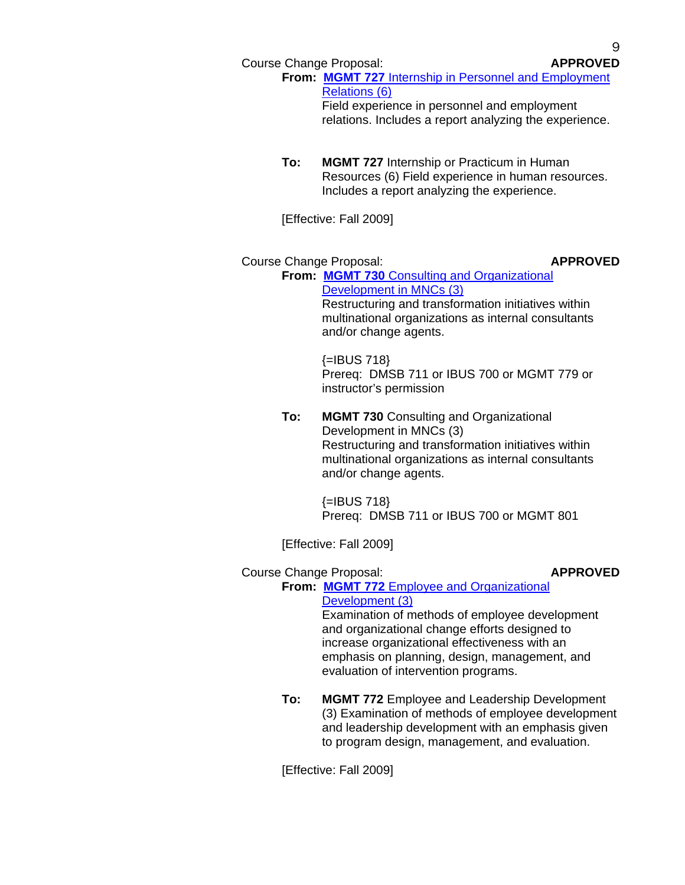Course Change Proposal: **APPROVED**

**From: MGMT 727** [Internship in Personnel and Employment](http://gradschool.sc.edu/gradcouncil/curricula/CCP%20MGMT%20727.pdf)  [Relations \(6\)](http://gradschool.sc.edu/gradcouncil/curricula/CCP%20MGMT%20727.pdf) Field experience in personnel and employment

relations. Includes a report analyzing the experience.

**To: MGMT 727** Internship or Practicum in Human Resources (6) Field experience in human resources. Includes a report analyzing the experience.

[Effective: Fall 2009]

# Course Change Proposal: **APPROVED**

**From: MGMT 730** [Consulting and Organizational](http://gradschool.sc.edu/gradcouncil/curricula/CCP%20MGMT%20730.pdf) [Development in MNCs \(3\)](http://gradschool.sc.edu/gradcouncil/curricula/CCP%20MGMT%20730.pdf) 

> Restructuring and transformation initiatives within multinational organizations as internal consultants and/or change agents.

> $\left\{=\left\vert \text{BUS } 718\right\} \right\}$ Prereq: DMSB 711 or IBUS 700 or MGMT 779 or instructor's permission

**To: MGMT 730** Consulting and Organizational Development in MNCs (3) Restructuring and transformation initiatives within multinational organizations as internal consultants and/or change agents.

> $\left\{=\left| \text{BUS } 718 \right\} \right\}$ Prereq: DMSB 711 or IBUS 700 or MGMT 801

[Effective: Fall 2009]

# Course Change Proposal: **APPROVED**

# **From: MGMT 772** [Employee and Organizational](http://gradschool.sc.edu/gradcouncil/curricula/CCP%20MGMT%20772.pdf) [Development \(3\)](http://gradschool.sc.edu/gradcouncil/curricula/CCP%20MGMT%20772.pdf)

Examination of methods of employee development and organizational change efforts designed to increase organizational effectiveness with an emphasis on planning, design, management, and evaluation of intervention programs.

**To: MGMT 772** Employee and Leadership Development (3) Examination of methods of employee development and leadership development with an emphasis given to program design, management, and evaluation.